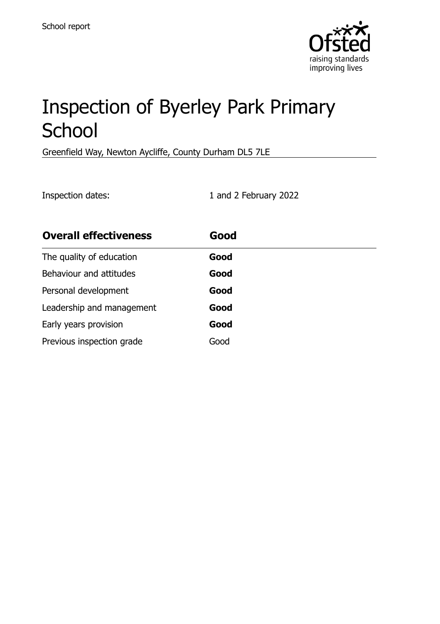

# Inspection of Byerley Park Primary **School**

Greenfield Way, Newton Aycliffe, County Durham DL5 7LE

Inspection dates: 1 and 2 February 2022

| <b>Overall effectiveness</b> | Good |
|------------------------------|------|
| The quality of education     | Good |
| Behaviour and attitudes      | Good |
| Personal development         | Good |
| Leadership and management    | Good |
| Early years provision        | Good |
| Previous inspection grade    | Good |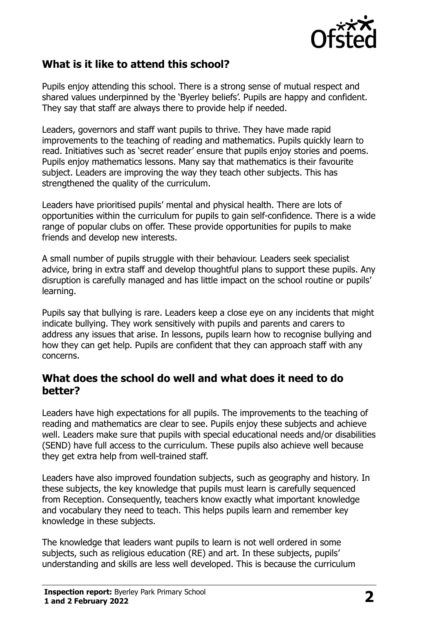

# **What is it like to attend this school?**

Pupils enjoy attending this school. There is a strong sense of mutual respect and shared values underpinned by the 'Byerley beliefs'. Pupils are happy and confident. They say that staff are always there to provide help if needed.

Leaders, governors and staff want pupils to thrive. They have made rapid improvements to the teaching of reading and mathematics. Pupils quickly learn to read. Initiatives such as 'secret reader' ensure that pupils enjoy stories and poems. Pupils enjoy mathematics lessons. Many say that mathematics is their favourite subject. Leaders are improving the way they teach other subjects. This has strengthened the quality of the curriculum.

Leaders have prioritised pupils' mental and physical health. There are lots of opportunities within the curriculum for pupils to gain self-confidence. There is a wide range of popular clubs on offer. These provide opportunities for pupils to make friends and develop new interests.

A small number of pupils struggle with their behaviour. Leaders seek specialist advice, bring in extra staff and develop thoughtful plans to support these pupils. Any disruption is carefully managed and has little impact on the school routine or pupils' learning.

Pupils say that bullying is rare. Leaders keep a close eye on any incidents that might indicate bullying. They work sensitively with pupils and parents and carers to address any issues that arise. In lessons, pupils learn how to recognise bullying and how they can get help. Pupils are confident that they can approach staff with any concerns.

#### **What does the school do well and what does it need to do better?**

Leaders have high expectations for all pupils. The improvements to the teaching of reading and mathematics are clear to see. Pupils enjoy these subjects and achieve well. Leaders make sure that pupils with special educational needs and/or disabilities (SEND) have full access to the curriculum. These pupils also achieve well because they get extra help from well-trained staff.

Leaders have also improved foundation subjects, such as geography and history. In these subjects, the key knowledge that pupils must learn is carefully sequenced from Reception. Consequently, teachers know exactly what important knowledge and vocabulary they need to teach. This helps pupils learn and remember key knowledge in these subjects.

The knowledge that leaders want pupils to learn is not well ordered in some subjects, such as religious education (RE) and art. In these subjects, pupils' understanding and skills are less well developed. This is because the curriculum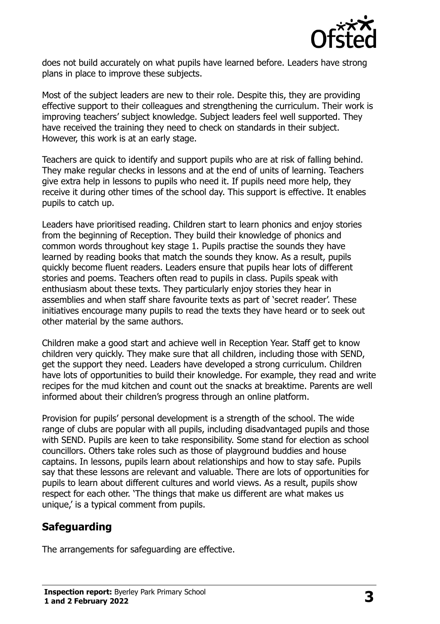

does not build accurately on what pupils have learned before. Leaders have strong plans in place to improve these subjects.

Most of the subject leaders are new to their role. Despite this, they are providing effective support to their colleagues and strengthening the curriculum. Their work is improving teachers' subject knowledge. Subject leaders feel well supported. They have received the training they need to check on standards in their subject. However, this work is at an early stage.

Teachers are quick to identify and support pupils who are at risk of falling behind. They make regular checks in lessons and at the end of units of learning. Teachers give extra help in lessons to pupils who need it. If pupils need more help, they receive it during other times of the school day. This support is effective. It enables pupils to catch up.

Leaders have prioritised reading. Children start to learn phonics and enjoy stories from the beginning of Reception. They build their knowledge of phonics and common words throughout key stage 1. Pupils practise the sounds they have learned by reading books that match the sounds they know. As a result, pupils quickly become fluent readers. Leaders ensure that pupils hear lots of different stories and poems. Teachers often read to pupils in class. Pupils speak with enthusiasm about these texts. They particularly enjoy stories they hear in assemblies and when staff share favourite texts as part of 'secret reader'. These initiatives encourage many pupils to read the texts they have heard or to seek out other material by the same authors.

Children make a good start and achieve well in Reception Year. Staff get to know children very quickly. They make sure that all children, including those with SEND, get the support they need. Leaders have developed a strong curriculum. Children have lots of opportunities to build their knowledge. For example, they read and write recipes for the mud kitchen and count out the snacks at breaktime. Parents are well informed about their children's progress through an online platform.

Provision for pupils' personal development is a strength of the school. The wide range of clubs are popular with all pupils, including disadvantaged pupils and those with SEND. Pupils are keen to take responsibility. Some stand for election as school councillors. Others take roles such as those of playground buddies and house captains. In lessons, pupils learn about relationships and how to stay safe. Pupils say that these lessons are relevant and valuable. There are lots of opportunities for pupils to learn about different cultures and world views. As a result, pupils show respect for each other. 'The things that make us different are what makes us unique,' is a typical comment from pupils.

# **Safeguarding**

The arrangements for safeguarding are effective.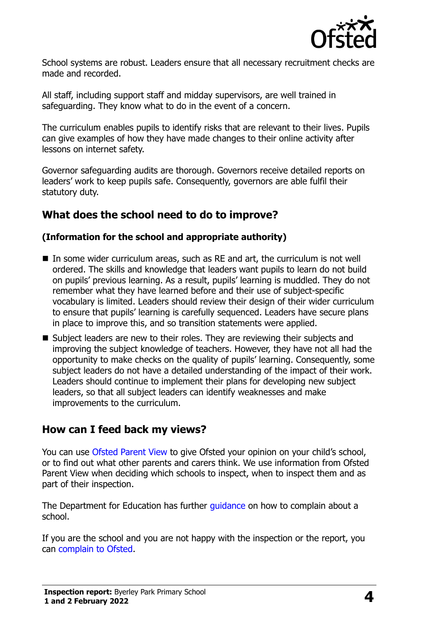

School systems are robust. Leaders ensure that all necessary recruitment checks are made and recorded.

All staff, including support staff and midday supervisors, are well trained in safeguarding. They know what to do in the event of a concern.

The curriculum enables pupils to identify risks that are relevant to their lives. Pupils can give examples of how they have made changes to their online activity after lessons on internet safety.

Governor safeguarding audits are thorough. Governors receive detailed reports on leaders' work to keep pupils safe. Consequently, governors are able fulfil their statutory duty.

## **What does the school need to do to improve?**

#### **(Information for the school and appropriate authority)**

- $\blacksquare$  In some wider curriculum areas, such as RE and art, the curriculum is not well ordered. The skills and knowledge that leaders want pupils to learn do not build on pupils' previous learning. As a result, pupils' learning is muddled. They do not remember what they have learned before and their use of subject-specific vocabulary is limited. Leaders should review their design of their wider curriculum to ensure that pupils' learning is carefully sequenced. Leaders have secure plans in place to improve this, and so transition statements were applied.
- Subject leaders are new to their roles. They are reviewing their subjects and improving the subject knowledge of teachers. However, they have not all had the opportunity to make checks on the quality of pupils' learning. Consequently, some subject leaders do not have a detailed understanding of the impact of their work. Leaders should continue to implement their plans for developing new subject leaders, so that all subject leaders can identify weaknesses and make improvements to the curriculum.

## **How can I feed back my views?**

You can use [Ofsted Parent View](http://parentview.ofsted.gov.uk/) to give Ofsted your opinion on your child's school, or to find out what other parents and carers think. We use information from Ofsted Parent View when deciding which schools to inspect, when to inspect them and as part of their inspection.

The Department for Education has further quidance on how to complain about a school.

If you are the school and you are not happy with the inspection or the report, you can [complain to Ofsted.](http://www.gov.uk/complain-ofsted-report)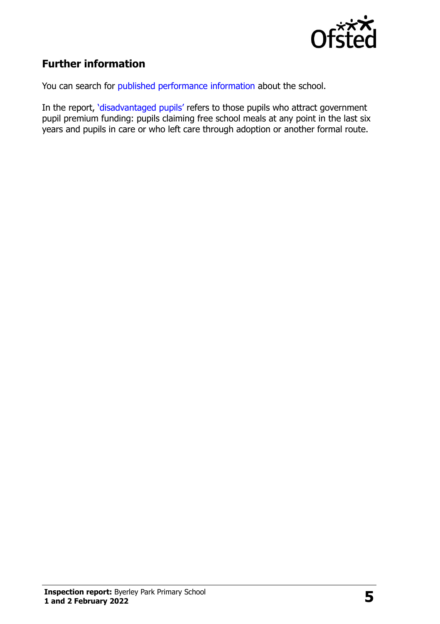

# **Further information**

You can search for [published performance information](http://www.compare-school-performance.service.gov.uk/) about the school.

In the report, '[disadvantaged pupils](http://www.gov.uk/guidance/pupil-premium-information-for-schools-and-alternative-provision-settings)' refers to those pupils who attract government pupil premium funding: pupils claiming free school meals at any point in the last six years and pupils in care or who left care through adoption or another formal route.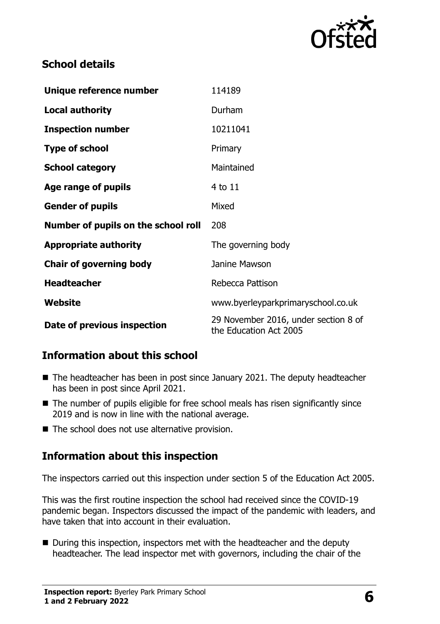

# **School details**

| Unique reference number             | 114189                                                         |
|-------------------------------------|----------------------------------------------------------------|
| <b>Local authority</b>              | Durham                                                         |
| <b>Inspection number</b>            | 10211041                                                       |
| <b>Type of school</b>               | Primary                                                        |
| <b>School category</b>              | Maintained                                                     |
| Age range of pupils                 | 4 to 11                                                        |
| <b>Gender of pupils</b>             | Mixed                                                          |
| Number of pupils on the school roll | 208                                                            |
| <b>Appropriate authority</b>        | The governing body                                             |
| <b>Chair of governing body</b>      | Janine Mawson                                                  |
| <b>Headteacher</b>                  | Rebecca Pattison                                               |
| <b>Website</b>                      | www.byerleyparkprimaryschool.co.uk                             |
| Date of previous inspection         | 29 November 2016, under section 8 of<br>the Education Act 2005 |

# **Information about this school**

- The headteacher has been in post since January 2021. The deputy headteacher has been in post since April 2021.
- The number of pupils eligible for free school meals has risen significantly since 2019 and is now in line with the national average.
- The school does not use alternative provision.

# **Information about this inspection**

The inspectors carried out this inspection under section 5 of the Education Act 2005.

This was the first routine inspection the school had received since the COVID-19 pandemic began. Inspectors discussed the impact of the pandemic with leaders, and have taken that into account in their evaluation.

**During this inspection, inspectors met with the headteacher and the deputy** headteacher. The lead inspector met with governors, including the chair of the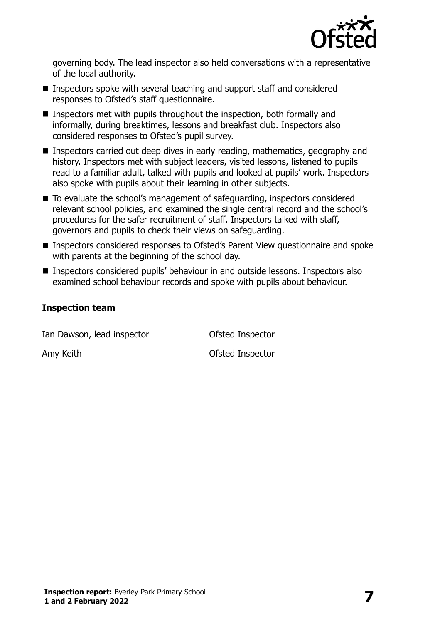

governing body. The lead inspector also held conversations with a representative of the local authority.

- Inspectors spoke with several teaching and support staff and considered responses to Ofsted's staff questionnaire.
- **Inspectors met with pupils throughout the inspection, both formally and** informally, during breaktimes, lessons and breakfast club. Inspectors also considered responses to Ofsted's pupil survey.
- Inspectors carried out deep dives in early reading, mathematics, geography and history. Inspectors met with subject leaders, visited lessons, listened to pupils read to a familiar adult, talked with pupils and looked at pupils' work. Inspectors also spoke with pupils about their learning in other subjects.
- To evaluate the school's management of safeguarding, inspectors considered relevant school policies, and examined the single central record and the school's procedures for the safer recruitment of staff. Inspectors talked with staff, governors and pupils to check their views on safeguarding.
- Inspectors considered responses to Ofsted's Parent View questionnaire and spoke with parents at the beginning of the school day.
- Inspectors considered pupils' behaviour in and outside lessons. Inspectors also examined school behaviour records and spoke with pupils about behaviour.

#### **Inspection team**

Ian Dawson, lead inspector **Conservative Conservation** Ofsted Inspector

Amy Keith **Contact Amy Keith** Contact Amy Keith **Ofsted Inspector**